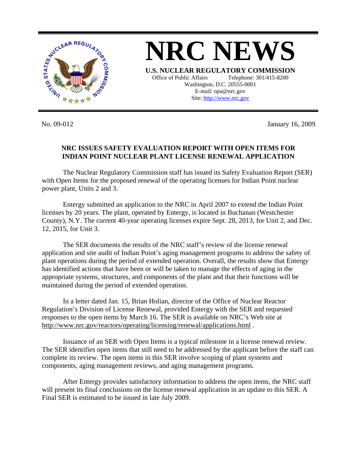

**NRC NEWS U.S. NUCLEAR REGULATORY COMMISSION** Office of Public Affairs Telephone: 301/415-8200 Washington, D.C. 20555-0001 E-mail: opa@nrc.gov Site: http://www.nrc.gov

No. 09-012 January 16, 2009

## **NRC ISSUES SAFETY EVALUATION REPORT WITH OPEN ITEMS FOR INDIAN POINT NUCLEAR PLANT LICENSE RENEWAL APPLICATION**

 The Nuclear Regulatory Commission staff has issued its Safety Evaluation Report (SER) with Open Items for the proposed renewal of the operating licenses for Indian Point nuclear power plant, Units 2 and 3.

 Entergy submitted an application to the NRC in April 2007 to extend the Indian Point licenses by 20 years. The plant, operated by Entergy, is located in Buchanan (Westchester County), N.Y. The current 40-year operating licenses expire Sept. 28, 2013, for Unit 2, and Dec. 12, 2015, for Unit 3.

The SER documents the results of the NRC staff's review of the license renewal application and site audit of Indian Point's aging management programs to address the safety of plant operations during the period of extended operation. Overall, the results show that Entergy has identified actions that have been or will be taken to manage the effects of aging in the appropriate systems, structures, and components of the plant and that their functions will be maintained during the period of extended operation.

 In a letter dated Jan. 15, Brian Holian, director of the Office of Nuclear Reactor Regulation's Division of License Renewal, provided Entergy with the SER and requested responses to the open items by March 16. The SER is available on NRC's Web site at <http://www.nrc.gov/reactors/operating/licensing/renewal/applications.html> .

 Issuance of an SER with Open Items is a typical milestone in a license renewal review. The SER identifies open items that still need to be addressed by the applicant before the staff can complete its review. The open items in this SER involve scoping of plant systems and components, aging management reviews, and aging management programs.

 After Entergy provides satisfactory information to address the open items, the NRC staff will present its final conclusions on the license renewal application in an update to this SER. A Final SER is estimated to be issued in late July 2009.